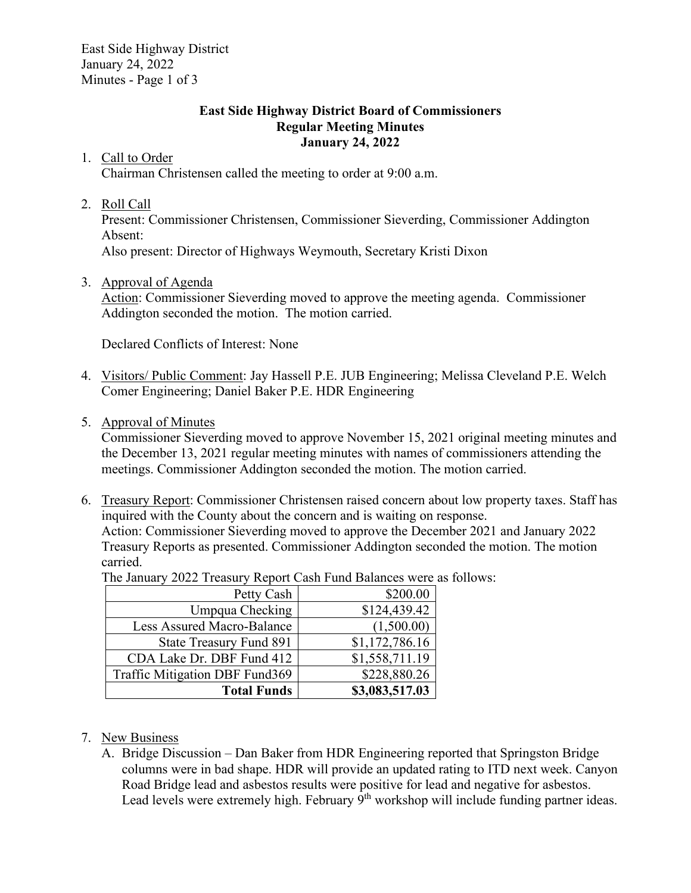East Side Highway District January 24, 2022 Minutes - Page 1 of 3

### **East Side Highway District Board of Commissioners Regular Meeting Minutes January 24, 2022**

# 1. Call to Order

Chairman Christensen called the meeting to order at 9:00 a.m.

## 2. Roll Call

Present: Commissioner Christensen, Commissioner Sieverding, Commissioner Addington Absent:

Also present: Director of Highways Weymouth, Secretary Kristi Dixon

# 3. Approval of Agenda

Action: Commissioner Sieverding moved to approve the meeting agenda. Commissioner Addington seconded the motion. The motion carried.

Declared Conflicts of Interest: None

- 4. Visitors/ Public Comment: Jay Hassell P.E. JUB Engineering; Melissa Cleveland P.E. Welch Comer Engineering; Daniel Baker P.E. HDR Engineering
- 5. Approval of Minutes

Commissioner Sieverding moved to approve November 15, 2021 original meeting minutes and the December 13, 2021 regular meeting minutes with names of commissioners attending the meetings. Commissioner Addington seconded the motion. The motion carried.

6. Treasury Report: Commissioner Christensen raised concern about low property taxes. Staff has inquired with the County about the concern and is waiting on response. Action: Commissioner Sieverding moved to approve the December 2021 and January 2022

Treasury Reports as presented. Commissioner Addington seconded the motion. The motion carried.

The January 2022 Treasury Report Cash Fund Balances were as follows:

| Petty Cash                        | \$200.00       |
|-----------------------------------|----------------|
| Umpqua Checking                   | \$124,439.42   |
| <b>Less Assured Macro-Balance</b> | (1,500.00)     |
| <b>State Treasury Fund 891</b>    | \$1,172,786.16 |
| CDA Lake Dr. DBF Fund 412         | \$1,558,711.19 |
| Traffic Mitigation DBF Fund369    | \$228,880.26   |
| <b>Total Funds</b>                | \$3,083,517.03 |

- 7. New Business
	- A. Bridge Discussion Dan Baker from HDR Engineering reported that Springston Bridge columns were in bad shape. HDR will provide an updated rating to ITD next week. Canyon Road Bridge lead and asbestos results were positive for lead and negative for asbestos. Lead levels were extremely high. February 9<sup>th</sup> workshop will include funding partner ideas.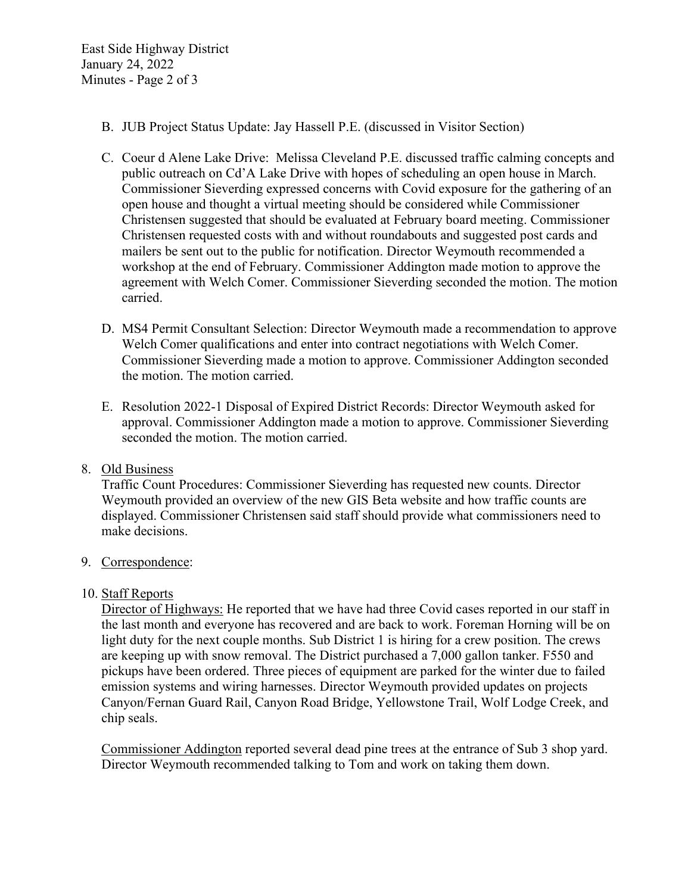East Side Highway District January 24, 2022 Minutes - Page 2 of 3

- B. JUB Project Status Update: Jay Hassell P.E. (discussed in Visitor Section)
- C. Coeur d Alene Lake Drive: Melissa Cleveland P.E. discussed traffic calming concepts and public outreach on Cd'A Lake Drive with hopes of scheduling an open house in March. Commissioner Sieverding expressed concerns with Covid exposure for the gathering of an open house and thought a virtual meeting should be considered while Commissioner Christensen suggested that should be evaluated at February board meeting. Commissioner Christensen requested costs with and without roundabouts and suggested post cards and mailers be sent out to the public for notification. Director Weymouth recommended a workshop at the end of February. Commissioner Addington made motion to approve the agreement with Welch Comer. Commissioner Sieverding seconded the motion. The motion carried.
- D. MS4 Permit Consultant Selection: Director Weymouth made a recommendation to approve Welch Comer qualifications and enter into contract negotiations with Welch Comer. Commissioner Sieverding made a motion to approve. Commissioner Addington seconded the motion. The motion carried.
- E. Resolution 2022-1 Disposal of Expired District Records: Director Weymouth asked for approval. Commissioner Addington made a motion to approve. Commissioner Sieverding seconded the motion. The motion carried.

#### 8. Old Business

Traffic Count Procedures: Commissioner Sieverding has requested new counts. Director Weymouth provided an overview of the new GIS Beta website and how traffic counts are displayed. Commissioner Christensen said staff should provide what commissioners need to make decisions.

#### 9. Correspondence:

#### 10. Staff Reports

Director of Highways: He reported that we have had three Covid cases reported in our staff in the last month and everyone has recovered and are back to work. Foreman Horning will be on light duty for the next couple months. Sub District 1 is hiring for a crew position. The crews are keeping up with snow removal. The District purchased a 7,000 gallon tanker. F550 and pickups have been ordered. Three pieces of equipment are parked for the winter due to failed emission systems and wiring harnesses. Director Weymouth provided updates on projects Canyon/Fernan Guard Rail, Canyon Road Bridge, Yellowstone Trail, Wolf Lodge Creek, and chip seals.

Commissioner Addington reported several dead pine trees at the entrance of Sub 3 shop yard. Director Weymouth recommended talking to Tom and work on taking them down.